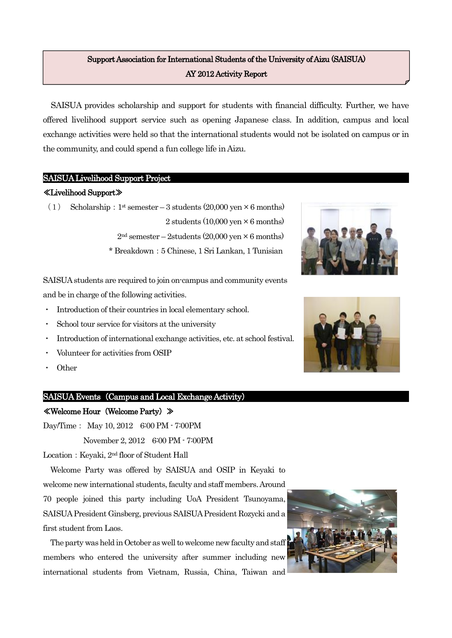# Support Association for International Students of the University of Aizu (SAISUA) AY 2012 Activity Report

SAISUA provides scholarship and support for students with financial difficulty. Further, we have offered livelihood support service such as opening Japanese class. In addition, campus and local exchange activities were held so that the international students would not be isolated on campus or in the community, and could spend a fun college life in Aizu.

## SAISUA Livelihood Support Project

## ≪Livelihood Support≫

(1) Scholarship:  $1^{\text{st}}$  semester – 3 students (20,000 yen  $\times$  6 months) 2 students  $(10,000 \text{ ven} \times 6 \text{ months})$  $2<sup>nd</sup>$  semester – 2students (20,000 yen  $\times$  6 months) \* Breakdown:5 Chinese, 1 Sri Lankan, 1 Tunisian

SAISUA students are required to join on-campus and community events and be in charge of the following activities.

- Introduction of their countries in local elementary school.
- School tour service for visitors at the university
- Introduction of international exchange activities, etc. at school festival.
- Volunteer for activities from OSIP
- **Other**

## SAISUA Events (Campus and Local Exchange Activity)

#### ≪Welcome Hour(Welcome Party)≫

Day/Time: May 10, 2012 6:00 PM - 7:00PM

November 2, 2012 6:00 PM - 7:00PM

Location: Keyaki, 2<sup>nd</sup> floor of Student Hall

Welcome Party was offered by SAISUA and OSIP in Keyaki to welcome new international students, faculty and staff members. Around 70 people joined this party including UoA President Tsunoyama, SAISUA President Ginsberg, previous SAISUA President Rozycki and a first student from Laos.

The party was held in October as well to welcomenew faculty and staff members who entered the university after summer including new international students from Vietnam, Russia, China, Taiwan and